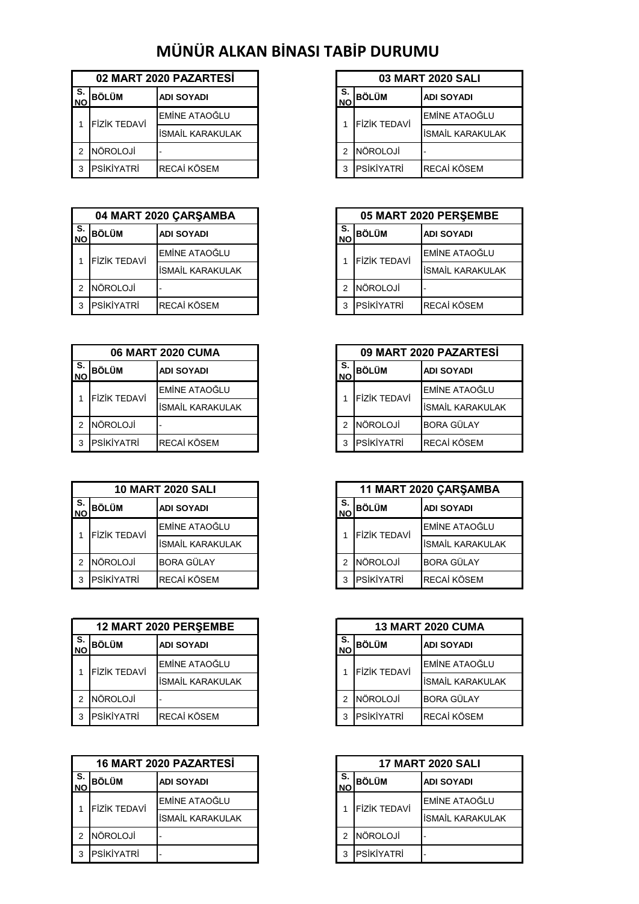## **MÜNÜR ALKAN BİNASI TABİP DURUMU**

|                  |                     | 02 MART 2020 PAZARTESİ  | <b>03 MART 2020 SALI</b> |                     |                     |
|------------------|---------------------|-------------------------|--------------------------|---------------------|---------------------|
| IS.<br><b>NO</b> | <b>BÖLÜM</b>        | <b>ADI SOYADI</b>       | S.<br><b>NO</b>          | <b>BÖLÜM</b>        | <b>ADI SOYADI</b>   |
|                  | <b>FIZIK TEDAVI</b> | <b>EMÎNE ATAOĞLU</b>    |                          | <b>FIZIK TEDAVI</b> | <b>IEMINE ATAOĞ</b> |
|                  |                     | <b>İSMAİL KARAKULAK</b> |                          |                     | <b>İSMAİL KARAK</b> |
|                  | <b>NÖROLOJİ</b>     |                         |                          | <b>NÖROLOJİ</b>     |                     |
|                  | <b>PSİKİYATRİ</b>   | <b>RECAİ KÖSEM</b>      |                          | <b>IPSIKIYATRI</b>  | <b>RECAİ KÖSEM</b>  |

| 05 MART 2020 PERSEM<br>04 MART 2020 ÇARŞAMBA |                     |                         |                 |                     |                     |
|----------------------------------------------|---------------------|-------------------------|-----------------|---------------------|---------------------|
| <b>NO</b>                                    | I S. BÖLÜM          | <b>ADI SOYADI</b>       | S.<br><b>NO</b> | <b>BÖLÜM</b>        | <b>ADI SOYADI</b>   |
|                                              | <b>FİZİK TEDAVİ</b> | <b>EMİNE ATAOĞLU</b>    |                 | <b>FİZİK TEDAVİ</b> | <b>IEMINE ATAOĞ</b> |
|                                              |                     | <b>İSMAİL KARAKULAK</b> |                 |                     | <b>ISMAIL KARAK</b> |
|                                              | NÖROLOJİ            |                         |                 | NÖROLOJİ            |                     |
|                                              | PSİKİYATRİ          | <b>RECAİ KÖSEM</b>      |                 | PSİKİYATRİ          | RECAİ KÖSEM         |

| <b>06 MART 2020 CUMA</b> |                     |                         |                 |                     | 09 MART 2020 PAZARTI |
|--------------------------|---------------------|-------------------------|-----------------|---------------------|----------------------|
| S.<br><b>INO</b>         | BÖLÜM               | <b>ADI SOYADI</b>       | S.<br><b>NO</b> | <b>BÖLÜM</b>        | <b>ADI SOYADI</b>    |
|                          | <b>FİZİK TEDAVİ</b> | EMİNE ATAOĞLU           |                 | <b>FIZIK TEDAVI</b> | <b>EMINE ATAOĞ</b>   |
|                          |                     | <b>İSMAİL KARAKULAK</b> |                 |                     | <b>ISMAIL KARAK</b>  |
|                          | NÖROLOJİ            |                         |                 | NÖROLOJİ            | <b>BORA GÜLAY</b>    |
|                          | <b>IPSIKIYATRI</b>  | <b>RECAİ KÖSEM</b>      |                 | PSİKİYATRİ          | RECAİ KÖSEM          |

| <b>10 MART 2020 SALI</b> |                     |                         |                 | 11 MART 2020 CARSAM |                     |
|--------------------------|---------------------|-------------------------|-----------------|---------------------|---------------------|
| S.<br><b>INO</b>         | <b>BÖLÜM</b>        | <b>ADI SOYADI</b>       | S.<br><b>NO</b> | <b>BÖLÜM</b>        | <b>ADI SOYADI</b>   |
|                          | <b>FİZİK TEDAVİ</b> | EMİNE ATAOĞLU           |                 | <b>FİZİK TEDAVİ</b> | <b>EMINE ATAOĞ</b>  |
|                          |                     | <b>ISMAIL KARAKULAK</b> |                 |                     | <b>İSMAİL KARAK</b> |
|                          | <b>NÖROLOJİ</b>     | <b>BORA GÜLAY</b>       |                 | NÖROLOJİ            | <b>BORA GÜLAY</b>   |
|                          | PSİKİYATRİ          | RECAİ KÖSEM             |                 | PSİKİYATRİ          | RECAİ KÖSEM         |

|                    |                     | 12 MART 2020 PERSEMBE   | <b>13 MART 2020 CUMA</b> |                     |                    |
|--------------------|---------------------|-------------------------|--------------------------|---------------------|--------------------|
| $S$ .<br><b>NO</b> | <b>BÖLÜM</b>        | ADI SOYADI              | S.<br><b>NO</b>          | <b>BÖLÜM</b>        | <b>ADI SOYADI</b>  |
|                    | <b>FİZİK TEDAVİ</b> | <b>EMINE ATAOĞLU</b>    |                          | <b>FİZİK TEDAVİ</b> | <b>EMİNE ATAOĞ</b> |
|                    |                     | <b>ISMAIL KARAKULAK</b> |                          |                     | İSMAİL KARAK       |
|                    | NÖROLOJİ            |                         |                          | NÖROLOJİ            | <b>BORA GÜLAY</b>  |
| з                  | <b>PSİKİYATRİ</b>   | RECAİ KÖSEM             | 3                        | PSİKİYATRİ          | RECAİ KÖSEM        |

|                 |                     | 16 MART 2020 PAZARTESİ | <b>17 MART 2020 SALI</b> |                   |                     |
|-----------------|---------------------|------------------------|--------------------------|-------------------|---------------------|
| S.<br><b>NO</b> | <b>BÖLÜM</b>        | <b>ADI SOYADI</b>      | S.<br><b>NO</b>          | <b>BÖLÜM</b>      | <b>ADI SOYADI</b>   |
|                 | <b>FİZİK TEDAVİ</b> | EMİNE ATAOĞLU          |                          | FİZİK TEDAVİ      | <b>EMINE ATAO</b>   |
|                 |                     | İSMAİL KARAKULAK       |                          |                   | <b>İSMAİL KARAI</b> |
|                 | <b>NÖROLOJİ</b>     |                        | 2                        | <b>NÖROLOJİ</b>   |                     |
|                 | <b>PSİKİYATRİ</b>   |                        | 3                        | <b>PSİKİYATRİ</b> |                     |

| 03 MART 2020 SALI |                   |                                  |  |
|-------------------|-------------------|----------------------------------|--|
| S.                | <b>BÖLÜM</b>      | <b>ADI SOYADI</b>                |  |
|                   |                   | <b>EMİNE ATAOĞLU</b>             |  |
|                   |                   | <b>İSMAİL KARAKULAK</b>          |  |
| 2                 | NÖROLOJİ          |                                  |  |
| 3                 | <b>PSİKİYATRİ</b> | RECAİ KÖSEM                      |  |
|                   |                   | <b>NO</b><br><b>FİZİK TEDAVİ</b> |  |

|                  | 04 MART 2020 ÇARŞAMBA   |  |   |                     | 05 MART 2020 PERSEMBE   |
|------------------|-------------------------|--|---|---------------------|-------------------------|
| <b>SÖLÜM</b>     | <b>ADI SOYADI</b>       |  |   | S. BÖLÜM<br>NO      | <b>ADI SOYADI</b>       |
| izik TEDAVİ      | <b>IEMINE ATAOĞLU</b>   |  |   | <b>FİZİK TEDAVİ</b> | <b>EMİNE ATAOĞLU</b>    |
|                  | <b>ISMAIL KARAKULAK</b> |  |   |                     | <b>ISMAIL KARAKULAK</b> |
| <b>JÖROLOJİ</b>  |                         |  | 2 | <b>NÖROLOJİ</b>     |                         |
| <b>SİKİYATRİ</b> | RECAİ KÖSEM             |  |   | <b>PSIKIYATRI</b>   | <b>RECAİ KÖSEM</b>      |

|          | <b>06 MART 2020 CUMA</b> |                 |                     | 09 MART 2020 PAZARTESİ  |
|----------|--------------------------|-----------------|---------------------|-------------------------|
| ÜМ       | <b>ADI SOYADI</b>        | S.<br><b>NO</b> | <b>BÖLÜM</b>        | <b>ADI SOYADI</b>       |
| ( TEDAVİ | EMİNE ATAOĞLU            |                 | <b>FIZIK TEDAVI</b> | <b>EMİNE ATAOĞLU</b>    |
|          | <b>İSMAİL KARAKULAK</b>  |                 |                     | <b>İSMAİL KARAKULAK</b> |
| OLOJİ    |                          | 2               | NÖROLOJİ            | <b>BORA GÜLAY</b>       |
| İYATRİ   | RECAİ KÖSEM              | 3               | PSİKİYATRİ          | RECAİ KÖSEM             |

|               | <b>10 MART 2020 SALI</b> | 11 MART 2020 ÇARŞAMBA |                 |                     |                         |
|---------------|--------------------------|-----------------------|-----------------|---------------------|-------------------------|
| IМ            | <b>ADI SOYADI</b>        |                       | S.<br><b>NO</b> | <b>BÖLÜM</b>        | <b>ADI SOYADI</b>       |
| <b>TEDAVİ</b> | <b>EMİNE ATAOĞLU</b>     |                       |                 | <b>FİZİK TEDAVİ</b> | EMİNE ATAOĞLU           |
|               | <b>İSMAİL KARAKULAK</b>  |                       |                 |                     | <b>İSMAİL KARAKULAK</b> |
| JLOJİ         | <b>BORA GÜLAY</b>        |                       | $\mathfrak{D}$  | NÖROLOJİ            | <b>BORA GÜLAY</b>       |
| YATRİ         | RECAİ KÖSEM              |                       | 3               | PSİKİYATRİ          | RECAİ KÖSEM             |

| <b>20 PERŞEMBE</b>             |                | <b>13 MART 2020 CUMA</b> |                         |  |
|--------------------------------|----------------|--------------------------|-------------------------|--|
| <b>ADI SOYADI</b><br><b>NO</b> |                | <b>BÖLÜM</b>             | <b>ADI SOYADI</b>       |  |
| EMİNE ATAOĞLU                  |                | <b>FİZİK TEDAVİ</b>      | EMİNE ATAOĞLU           |  |
| İSMAİL KARAKULAK               |                |                          | <b>İSMAİL KARAKULAK</b> |  |
|                                | $\mathfrak{D}$ | NÖROLOJİ                 | <b>BORA GÜLAY</b>       |  |
| RECAİ KÖSEM                    | 3              | PSİKİYATRİ               | RECAİ KÖSEM             |  |

| 20 PAZARTESİ      |                 | <b>17 MART 2020 SALI</b> |                   |  |
|-------------------|-----------------|--------------------------|-------------------|--|
| <b>ADI SOYADI</b> | S.<br><b>NO</b> | <b>BÖLÜM</b>             | <b>ADI SOYADI</b> |  |
| EMİNE ATAOĞLU     |                 | <b>FIZIK TEDAVI</b>      | EMİNE ATAOĞLU     |  |
| İSMAİL KARAKULAK  |                 |                          | İSMAİL KARAKULAK  |  |
|                   | 2               | <b>NÖROLOJİ</b>          |                   |  |
|                   | 3               | <b>PSİKİYATRİ</b>        |                   |  |